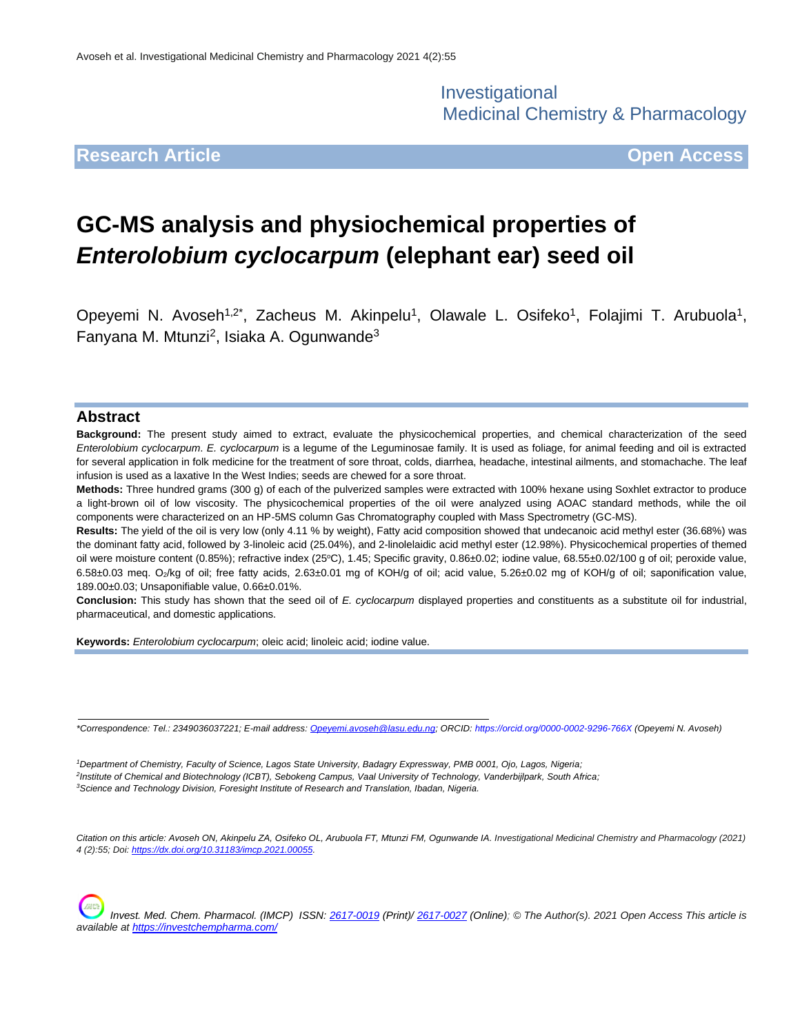Investigational Medicinal Chemistry & Pharmacology

# **Research Article Community Community Community Community Community Community Community Community Community Community**

# **GC-MS analysis and physiochemical properties of**  *Enterolobium cyclocarpum* **(elephant ear) seed oil**

Opeyemi N. Avoseh<sup>1,2\*</sup>, Zacheus M. Akinpelu<sup>1</sup>, Olawale L. Osifeko<sup>1</sup>, Folajimi T. Arubuola<sup>1</sup>, Fanyana M. Mtunzi<sup>2</sup>, Isiaka A. Ogunwande<sup>3</sup>

### **Abstract**

**Background:** The present study aimed to extract, evaluate the physicochemical properties, and chemical characterization of the seed *Enterolobium cyclocarpum*. *E. cyclocarpum* is a legume of the Leguminosae family. It is used as foliage, for animal feeding and oil is extracted for several application in folk medicine for the treatment of sore throat, colds, diarrhea, headache, intestinal ailments, and stomachache. The leaf infusion is used as a laxative In the West Indies; seeds are chewed for a sore throat.

**Methods:** Three hundred grams (300 g) of each of the pulverized samples were extracted with 100% hexane using Soxhlet extractor to produce a light-brown oil of low viscosity. The physicochemical properties of the oil were analyzed using AOAC standard methods, while the oil components were characterized on an HP-5MS column Gas Chromatography coupled with Mass Spectrometry (GC-MS).

**Results:** The yield of the oil is very low (only 4.11 % by weight), Fatty acid composition showed that undecanoic acid methyl ester (36.68%) was the dominant fatty acid, followed by 3-linoleic acid (25.04%), and 2-linolelaidic acid methyl ester (12.98%). Physicochemical properties of themed oil were moisture content (0.85%); refractive index (25°C), 1.45; Specific gravity, 0.86±0.02; iodine value, 68.55±0.02/100 g of oil; peroxide value, 6.58±0.03 meq. O2/kg of oil; free fatty acids, 2.63±0.01 mg of KOH/g of oil; acid value, 5.26±0.02 mg of KOH/g of oil; saponification value, 189.00±0.03; Unsaponifiable value, 0.66±0.01%.

**Conclusion:** This study has shown that the seed oil of *E. cyclocarpum* displayed properties and constituents as a substitute oil for industrial, pharmaceutical, and domestic applications.

**Keywords:** *Enterolobium cyclocarpum*; oleic acid; linoleic acid; iodine value.

*\*Correspondence: Tel.: 2349036037221; E-mail address[: Opeyemi.avoseh@lasu.edu.ng;](mailto:Opeyemi.avoseh@lasu.edu.ng) ORCID[: https://orcid.org/0000-0002-9296-766X](https://orcid.org/0000-0002-9296-766X) (Opeyemi N. Avoseh)*

*<sup>1</sup>Department of Chemistry, Faculty of Science, Lagos State University, Badagry Expressway, PMB 0001, Ojo, Lagos, Nigeria; 2 Institute of Chemical and Biotechnology (ICBT), Sebokeng Campus, Vaal University of Technology, Vanderbijlpark, South Africa; <sup>3</sup>Science and Technology Division, Foresight Institute of Research and Translation, Ibadan, Nigeria.*

*Citation on this article: Avoseh ON, Akinpelu ZA, Osifeko OL, Arubuola FT, Mtunzi FM, Ogunwande IA. Investigational Medicinal Chemistry and Pharmacology (2021) 4 (2):55; Doi: [https://dx.doi.org/10.31183/imcp.2021.00055.](https://dx.doi.org/10.31183/imcp.2021.00055)*

*Invest. Med. Chem. Pharmacol. (IMCP) ISSN: [2617-0019](https://portal.issn.org/resource/issn/2617-0019) (Print)/ [2617-0027](https://portal.issn.org/resource/issn/2617-0027) (Online); © The Author(s). 2021 Open Access This article is available a[t https://investchempharma.com/](https://investchempharma.com/)*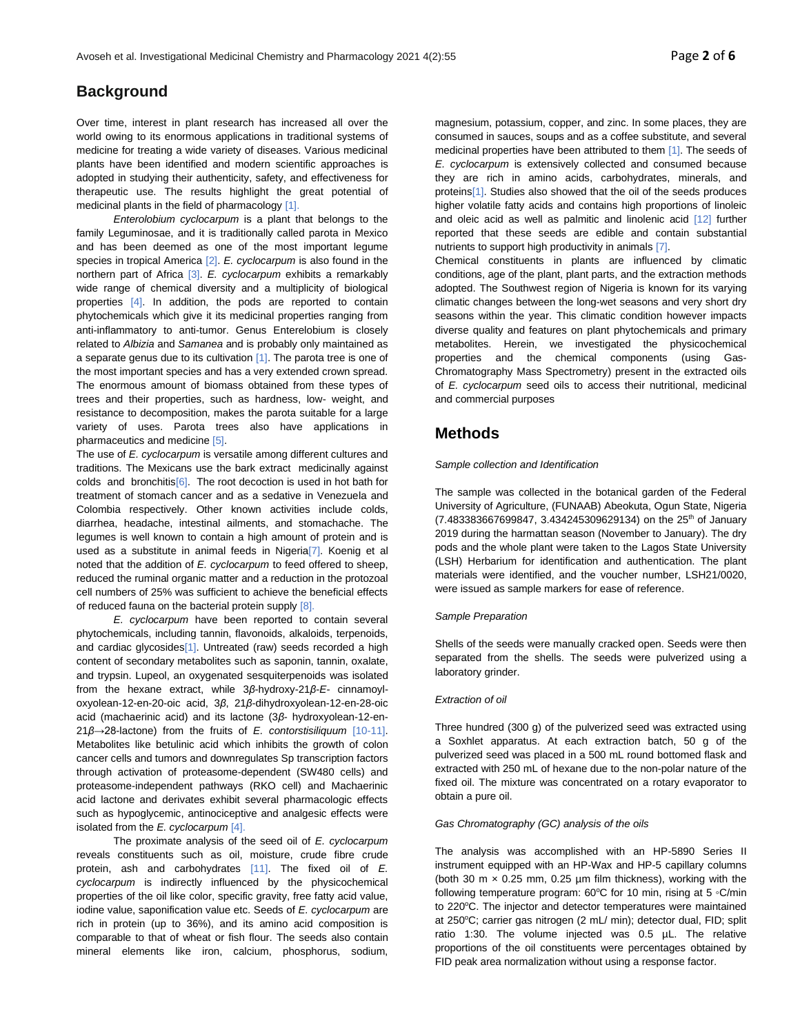# **Background**

Over time, interest in plant research has increased all over the world owing to its enormous applications in traditional systems of medicine for treating a wide variety of diseases. Various medicinal plants have been identified and modern scientific approaches is adopted in studying their authenticity, safety, and effectiveness for therapeutic use. The results highlight the great potential of medicinal plants in the field of pharmacology [1].

*Enterolobium cyclocarpum* is a plant that belongs to the family Leguminosae, and it is traditionally called parota in Mexico and has been deemed as one of the most important legume species in tropical America [2]. *E. cyclocarpum* is also found in the northern part of Africa [3]. *E. cyclocarpum* exhibits a remarkably wide range of chemical diversity and a multiplicity of biological properties [4]. In addition, the pods are reported to contain phytochemicals which give it its medicinal properties ranging from anti-inflammatory to anti-tumor. Genus Enterelobium is closely related to *Albizia* and *Samanea* and is probably only maintained as a separate genus due to its cultivation [1]. The parota tree is one of the most important species and has a very extended crown spread. The enormous amount of biomass obtained from these types of trees and their properties, such as hardness, low- weight, and resistance to decomposition, makes the parota suitable for a large variety of uses. Parota trees also have applications in pharmaceutics and medicine [5].

The use of *E. cyclocarpum* is versatile among different cultures and traditions. The Mexicans use the bark extract medicinally against colds and bronchitis $[6]$ . The root decoction is used in hot bath for treatment of stomach cancer and as a sedative in Venezuela and Colombia respectively. Other known activities include colds, diarrhea, headache, intestinal ailments, and stomachache. The legumes is well known to contain a high amount of protein and is used as a substitute in animal feeds in Nigeria[7]. Koenig et al noted that the addition of *E. cyclocarpum* to feed offered to sheep, reduced the ruminal organic matter and a reduction in the protozoal cell numbers of 25% was sufficient to achieve the beneficial effects of reduced fauna on the bacterial protein supply [8].

*E. cyclocarpum* have been reported to contain several phytochemicals, including tannin, flavonoids, alkaloids, terpenoids, and cardiac glycosides<sup>[1]</sup>. Untreated (raw) seeds recorded a high content of secondary metabolites such as saponin, tannin, oxalate, and trypsin. Lupeol, an oxygenated sesquiterpenoids was isolated from the hexane extract, while 3*β*-hydroxy-21*β*-*E*- cinnamoyloxyolean-12-en-20-oic acid, 3*β*, 21*β*-dihydroxyolean-12-en-28-oic acid (machaerinic acid) and its lactone (3*β*- hydroxyolean-12-en-21*β*→28-lactone) from the fruits of *E. contorstisiliquum* [10-11]. Metabolites like betulinic acid which inhibits the growth of colon cancer cells and tumors and downregulates Sp transcription factors through activation of proteasome-dependent (SW480 cells) and proteasome-independent pathways (RKO cell) and Machaerinic acid lactone and derivates exhibit several pharmacologic effects such as hypoglycemic, antinociceptive and analgesic effects were isolated from the *E. cyclocarpum* [4].

The proximate analysis of the seed oil of *E. cyclocarpum* reveals constituents such as oil, moisture, crude fibre crude protein, ash and carbohydrates [11]. The fixed oil of *E. cyclocarpum* is indirectly influenced by the physicochemical properties of the oil like color, specific gravity, free fatty acid value, iodine value, saponification value etc. Seeds of *E. cyclocarpum* are rich in protein (up to 36%), and its amino acid composition is comparable to that of wheat or fish flour. The seeds also contain mineral elements like iron, calcium, phosphorus, sodium,

magnesium, potassium, copper, and zinc. In some places, they are consumed in sauces, soups and as a coffee substitute, and several medicinal properties have been attributed to them [1]. The seeds of *E. cyclocarpum* is extensively collected and consumed because they are rich in amino acids, carbohydrates, minerals, and proteins[1]. Studies also showed that the oil of the seeds produces higher volatile fatty acids and contains high proportions of linoleic and oleic acid as well as palmitic and linolenic acid [12] further reported that these seeds are edible and contain substantial nutrients to support high productivity in animals [7].

Chemical constituents in plants are influenced by climatic conditions, age of the plant, plant parts, and the extraction methods adopted. The Southwest region of Nigeria is known for its varying climatic changes between the long-wet seasons and very short dry seasons within the year. This climatic condition however impacts diverse quality and features on plant phytochemicals and primary metabolites. Herein, we investigated the physicochemical properties and the chemical components (using Gas-Chromatography Mass Spectrometry) present in the extracted oils of *E. cyclocarpum* seed oils to access their nutritional, medicinal and commercial purposes

# **Methods**

#### *Sample collection and Identification*

The sample was collected in the botanical garden of the Federal University of Agriculture, (FUNAAB) Abeokuta, Ogun State, Nigeria (7.483383667699847, 3.434245309629134) on the 25<sup>th</sup> of January 2019 during the harmattan season (November to January). The dry pods and the whole plant were taken to the Lagos State University (LSH) Herbarium for identification and authentication. The plant materials were identified, and the voucher number, LSH21/0020, were issued as sample markers for ease of reference.

#### *Sample Preparation*

Shells of the seeds were manually cracked open. Seeds were then separated from the shells. The seeds were pulverized using a laboratory grinder.

#### *Extraction of oil*

Three hundred (300 g) of the pulverized seed was extracted using a Soxhlet apparatus. At each extraction batch, 50 g of the pulverized seed was placed in a 500 mL round bottomed flask and extracted with 250 mL of hexane due to the non-polar nature of the fixed oil. The mixture was concentrated on a rotary evaporator to obtain a pure oil.

#### *Gas Chromatography (GC) analysis of the oils*

The analysis was accomplished with an HP-5890 Series II instrument equipped with an HP-Wax and HP-5 capillary columns (both 30 m  $\times$  0.25 mm, 0.25 µm film thickness), working with the following temperature program:  $60^{\circ}$ C for 10 min, rising at 5  $\circ$ C/min to 220°C. The injector and detector temperatures were maintained at 250°C; carrier gas nitrogen (2 mL/ min); detector dual, FID; split ratio 1:30. The volume injected was 0.5 µL. The relative proportions of the oil constituents were percentages obtained by FID peak area normalization without using a response factor.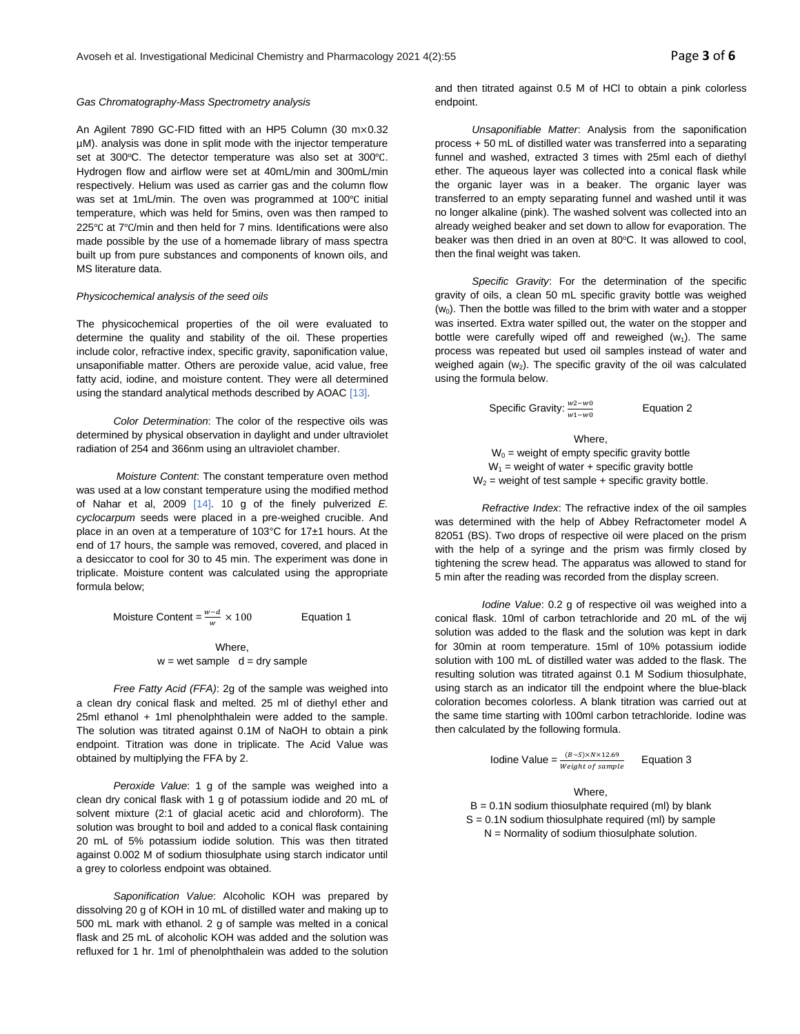An Agilent 7890 GC-FID fitted with an HP5 Column (30 m×0.32 µM). analysis was done in split mode with the injector temperature set at 300℃. The detector temperature was also set at 300℃. Hydrogen flow and airflow were set at 40mL/min and 300mL/min respectively. Helium was used as carrier gas and the column flow was set at 1mL/min. The oven was programmed at 100°C initial temperature, which was held for 5mins, oven was then ramped to 225℃ at 7℃/min and then held for 7 mins. Identifications were also made possible by the use of a homemade library of mass spectra built up from pure substances and components of known oils, and MS literature data.

#### *Physicochemical analysis of the seed oils*

The physicochemical properties of the oil were evaluated to determine the quality and stability of the oil. These properties include color, refractive index, specific gravity, saponification value, unsaponifiable matter. Others are peroxide value, acid value, free fatty acid, iodine, and moisture content. They were all determined using the standard analytical methods described by AOAC [13].

*Color Determination*: The color of the respective oils was determined by physical observation in daylight and under ultraviolet radiation of 254 and 366nm using an ultraviolet chamber.

*Moisture Content*: The constant temperature oven method was used at a low constant temperature using the modified method of Nahar et al, 2009 [14]. 10 g of the finely pulverized *E. cyclocarpum* seeds were placed in a pre-weighed crucible. And place in an oven at a temperature of 103°C for 17±1 hours. At the end of 17 hours, the sample was removed, covered, and placed in a desiccator to cool for 30 to 45 min. The experiment was done in triplicate. Moisture content was calculated using the appropriate formula below;

> Moisture Content =  $\frac{w-d}{w}$ Equation 1 Where,

#### $w = wet$  sample  $d = dry$  sample

*Free Fatty Acid (FFA)*: 2g of the sample was weighed into a clean dry conical flask and melted. 25 ml of diethyl ether and 25ml ethanol + 1ml phenolphthalein were added to the sample. The solution was titrated against 0.1M of NaOH to obtain a pink endpoint. Titration was done in triplicate. The Acid Value was obtained by multiplying the FFA by 2.

*Peroxide Value*: 1 g of the sample was weighed into a clean dry conical flask with 1 g of potassium iodide and 20 mL of solvent mixture (2:1 of glacial acetic acid and chloroform). The solution was brought to boil and added to a conical flask containing 20 mL of 5% potassium iodide solution. This was then titrated against 0.002 M of sodium thiosulphate using starch indicator until a grey to colorless endpoint was obtained.

*Saponification Value*: Alcoholic KOH was prepared by dissolving 20 g of KOH in 10 mL of distilled water and making up to 500 mL mark with ethanol. 2 g of sample was melted in a conical flask and 25 mL of alcoholic KOH was added and the solution was refluxed for 1 hr. 1ml of phenolphthalein was added to the solution

and then titrated against 0.5 M of HCl to obtain a pink colorless endpoint.

*Unsaponifiable Matter*: Analysis from the saponification process + 50 mL of distilled water was transferred into a separating funnel and washed, extracted 3 times with 25ml each of diethyl ether. The aqueous layer was collected into a conical flask while the organic layer was in a beaker. The organic layer was transferred to an empty separating funnel and washed until it was no longer alkaline (pink). The washed solvent was collected into an already weighed beaker and set down to allow for evaporation. The beaker was then dried in an oven at 80°C. It was allowed to cool, then the final weight was taken.

*Specific Gravity*: For the determination of the specific gravity of oils, a clean 50 mL specific gravity bottle was weighed  $(w_0)$ . Then the bottle was filled to the brim with water and a stopper was inserted. Extra water spilled out, the water on the stopper and bottle were carefully wiped off and reweighed  $(w_1)$ . The same process was repeated but used oil samples instead of water and weighed again  $(w_2)$ . The specific gravity of the oil was calculated using the formula below.

Specific Gravity:  $\frac{w^2 - w^0}{w^1 - w^0}$ 

Equation 2

Where,  $W_0$  = weight of empty specific gravity bottle  $W_1$  = weight of water + specific gravity bottle  $W_2$  = weight of test sample + specific gravity bottle.

*Refractive Index*: The refractive index of the oil samples was determined with the help of Abbey Refractometer model A 82051 (BS). Two drops of respective oil were placed on the prism with the help of a syringe and the prism was firmly closed by tightening the screw head. The apparatus was allowed to stand for 5 min after the reading was recorded from the display screen.

*Iodine Value*: 0.2 g of respective oil was weighed into a conical flask. 10ml of carbon tetrachloride and 20 mL of the wij solution was added to the flask and the solution was kept in dark for 30min at room temperature. 15ml of 10% potassium iodide solution with 100 mL of distilled water was added to the flask. The resulting solution was titrated against 0.1 M Sodium thiosulphate, using starch as an indicator till the endpoint where the blue-black coloration becomes colorless. A blank titration was carried out at the same time starting with 100ml carbon tetrachloride. Iodine was then calculated by the following formula.

> $Iodine Value = \frac{(B-S) \times N \times 12.69}{Weight \ of \ sample}$ Equation 3

#### Where,

 $B = 0.1N$  sodium thiosulphate required (ml) by blank  $S = 0.1N$  sodium thiosulphate required (ml) by sample N = Normality of sodium thiosulphate solution.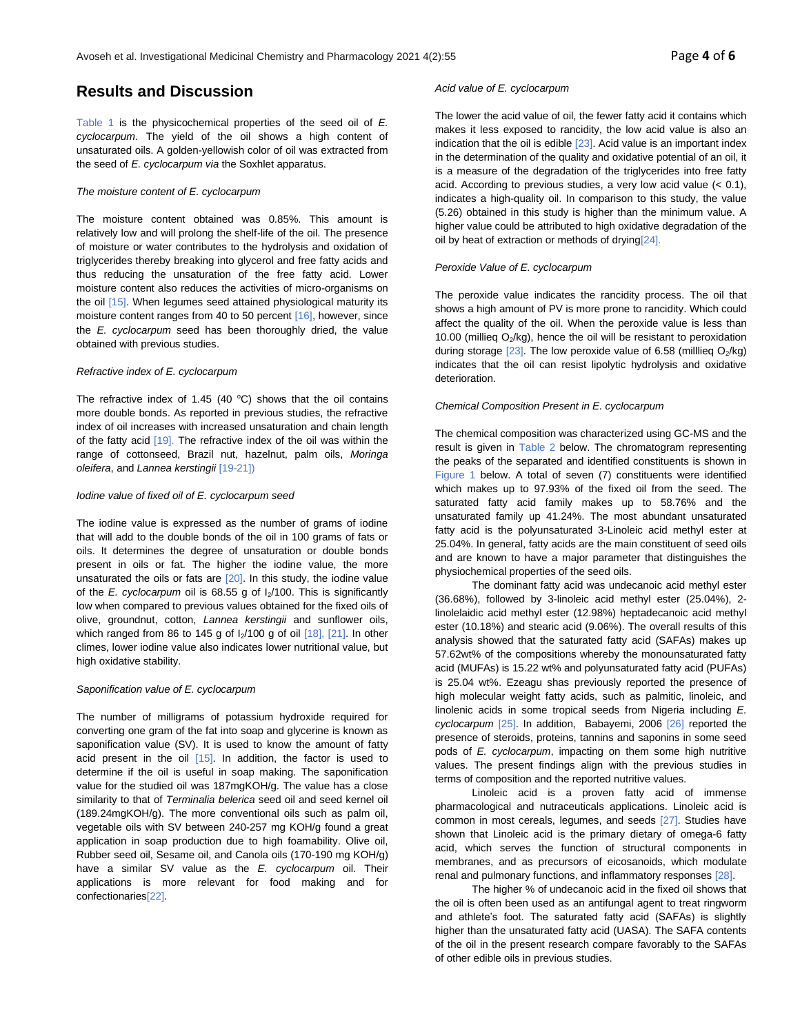# **Results and Discussion**

Table 1 is the physicochemical properties of the seed oil of *E. cyclocarpum*. The yield of the oil shows a high content of unsaturated oils. A golden-yellowish color of oil was extracted from the seed of *E. cyclocarpum via* the Soxhlet apparatus.

#### *The moisture content of E. cyclocarpum*

The moisture content obtained was 0.85%. This amount is relatively low and will prolong the shelf-life of the oil. The presence of moisture or water contributes to the hydrolysis and oxidation of triglycerides thereby breaking into glycerol and free fatty acids and thus reducing the unsaturation of the free fatty acid. Lower moisture content also reduces the activities of micro-organisms on the oil [15]. When legumes seed attained physiological maturity its moisture content ranges from 40 to 50 percent [16], however, since the *E. cyclocarpum* seed has been thoroughly dried, the value obtained with previous studies.

#### *Refractive index of E. cyclocarpum*

The refractive index of 1.45 (40  $^{\circ}$ C) shows that the oil contains more double bonds. As reported in previous studies, the refractive index of oil increases with increased unsaturation and chain length of the fatty acid [19]. The refractive index of the oil was within the range of cottonseed, Brazil nut, hazelnut, palm oils, *Moringa oleifera*, and *Lannea kerstingii* [19-21])

#### *Iodine value of fixed oil of E. cyclocarpum seed*

The iodine value is expressed as the number of grams of iodine that will add to the double bonds of the oil in 100 grams of fats or oils. It determines the degree of unsaturation or double bonds present in oils or fat. The higher the iodine value, the more unsaturated the oils or fats are  $[20]$ . In this study, the iodine value of the *E. cyclocarpum* oil is 68.55 g of I2/100. This is significantly low when compared to previous values obtained for the fixed oils of olive, groundnut, cotton, *Lannea kerstingii* and sunflower oils, which ranged from 86 to 145 g of  $I_2/100$  g of oil [18], [21]. In other climes, lower iodine value also indicates lower nutritional value, but high oxidative stability.

#### *Saponification value of E. cyclocarpum*

The number of milligrams of potassium hydroxide required for converting one gram of the fat into soap and glycerine is known as saponification value (SV). It is used to know the amount of fatty acid present in the oil [15]. In addition, the factor is used to determine if the oil is useful in soap making. The saponification value for the studied oil was 187mgKOH/g. The value has a close similarity to that of *Terminalia belerica* seed oil and seed kernel oil (189.24mgKOH/g). The more conventional oils such as palm oil, vegetable oils with SV between 240-257 mg KOH/g found a great application in soap production due to high foamability. Olive oil, Rubber seed oil, Sesame oil, and Canola oils (170-190 mg KOH/g) have a similar SV value as the *E. cyclocarpum* oil. Their applications is more relevant for food making and for confectionaries[22].

#### *Acid value of E. cyclocarpum*

The lower the acid value of oil, the fewer fatty acid it contains which makes it less exposed to rancidity, the low acid value is also an indication that the oil is edible [23]. Acid value is an important index in the determination of the quality and oxidative potential of an oil, it is a measure of the degradation of the triglycerides into free fatty acid. According to previous studies, a very low acid value (< 0.1), indicates a high-quality oil. In comparison to this study, the value (5.26) obtained in this study is higher than the minimum value. A higher value could be attributed to high oxidative degradation of the oil by heat of extraction or methods of drying  $[24]$ .

#### *Peroxide Value of E. cyclocarpum*

The peroxide value indicates the rancidity process. The oil that shows a high amount of PV is more prone to rancidity. Which could affect the quality of the oil. When the peroxide value is less than 10.00 (millieq  $O_2$ /kg), hence the oil will be resistant to peroxidation during storage  $[23]$ . The low peroxide value of 6.58 (milllieq  $O_2$ /kg) indicates that the oil can resist lipolytic hydrolysis and oxidative deterioration.

#### *Chemical Composition Present in E. cyclocarpum*

The chemical composition was characterized using GC-MS and the result is given in Table 2 below. The chromatogram representing the peaks of the separated and identified constituents is shown in Figure 1 below. A total of seven (7) constituents were identified which makes up to 97.93% of the fixed oil from the seed. The saturated fatty acid family makes up to 58.76% and the unsaturated family up 41.24%. The most abundant unsaturated fatty acid is the polyunsaturated 3-Linoleic acid methyl ester at 25.04%. In general, fatty acids are the main constituent of seed oils and are known to have a major parameter that distinguishes the physiochemical properties of the seed oils.

The dominant fatty acid was undecanoic acid methyl ester (36.68%), followed by 3-linoleic acid methyl ester (25.04%), 2 linolelaidic acid methyl ester (12.98%) heptadecanoic acid methyl ester (10.18%) and stearic acid (9.06%). The overall results of this analysis showed that the saturated fatty acid (SAFAs) makes up 57.62wt% of the compositions whereby the monounsaturated fatty acid (MUFAs) is 15.22 wt% and polyunsaturated fatty acid (PUFAs) is 25.04 wt%. Ezeagu shas previously reported the presence of high molecular weight fatty acids, such as palmitic, linoleic, and linolenic acids in some tropical seeds from Nigeria including *E. cyclocarpum* [25]. In addition, Babayemi, 2006 [26] reported the presence of steroids, proteins, tannins and saponins in some seed pods of *E. cyclocarpum*, impacting on them some high nutritive values. The present findings align with the previous studies in terms of composition and the reported nutritive values.

Linoleic acid is a proven fatty acid of immense pharmacological and nutraceuticals applications. Linoleic acid is common in most cereals, legumes, and seeds [27]. Studies have shown that Linoleic acid is the primary dietary of omega-6 fatty acid, which serves the function of structural components in membranes, and as precursors of eicosanoids, which modulate renal and pulmonary functions, and inflammatory responses [28].

The higher % of undecanoic acid in the fixed oil shows that the oil is often been used as an antifungal agent to treat ringworm and athlete's foot. The saturated fatty acid (SAFAs) is slightly higher than the unsaturated fatty acid (UASA). The SAFA contents of the oil in the present research compare favorably to the SAFAs of other edible oils in previous studies.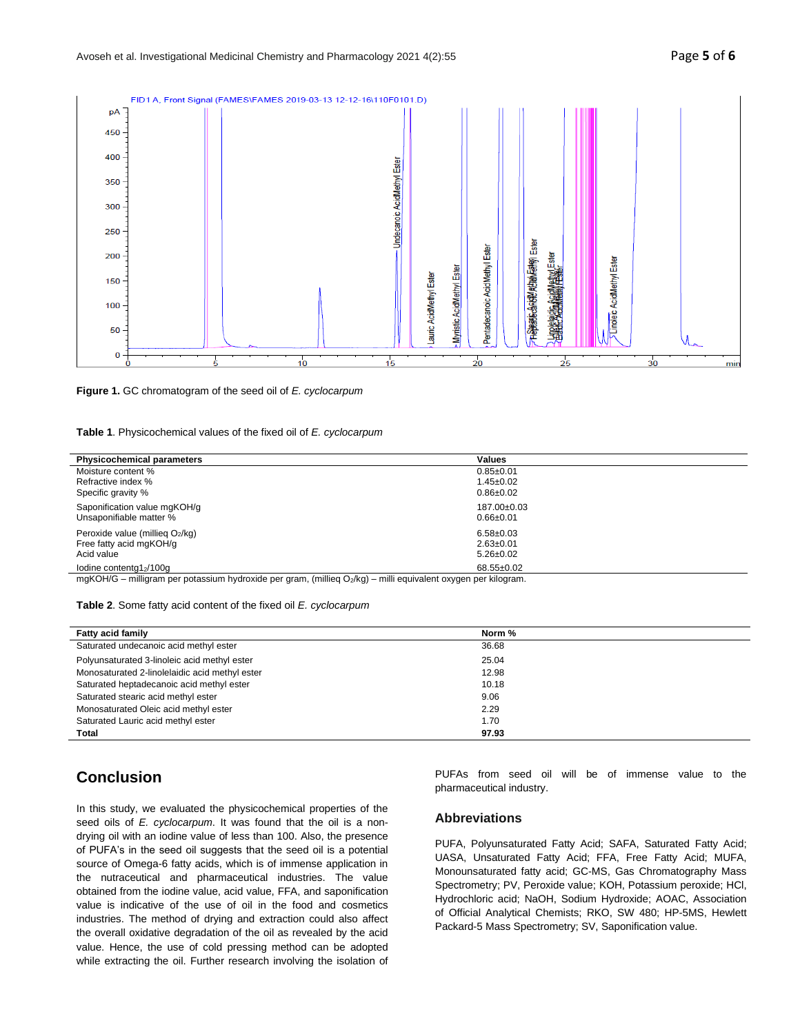



**Figure 1.** GC chromatogram of the seed oil of *E. cyclocarpum*

**Table 1**. Physicochemical values of the fixed oil of *E. cyclocarpum*

| <b>Physicochemical parameters</b>           | Values          |
|---------------------------------------------|-----------------|
| Moisture content %                          | $0.85 + 0.01$   |
| Refractive index %                          | $1.45 \pm 0.02$ |
| Specific gravity %                          | $0.86 \pm 0.02$ |
| Saponification value mgKOH/g                | 187.00±0.03     |
| Unsaponifiable matter %                     | $0.66 + 0.01$   |
| Peroxide value (millieg O <sub>2</sub> /kg) | $6.58 \pm 0.03$ |
| Free fatty acid mgKOH/g                     | $2.63 \pm 0.01$ |
| Acid value                                  | $5.26 \pm 0.02$ |
| lodine contentg1 <sub>2</sub> /100g         | 68.55±0.02      |
| .<br>.<br>.<br>.<br>                        | .               |

mgKOH/G – milligram per potassium hydroxide per gram, (millieq O<sub>2</sub>/kg) – milli equivalent oxygen per kilogram.

**Table 2**. Some fatty acid content of the fixed oil *E. cyclocarpum*

| <b>Fatty acid family</b>                       | Norm % |
|------------------------------------------------|--------|
| Saturated undecanoic acid methyl ester         | 36.68  |
| Polyunsaturated 3-linoleic acid methyl ester   | 25.04  |
| Monosaturated 2-linolelaidic acid methyl ester | 12.98  |
| Saturated heptadecanoic acid methyl ester      | 10.18  |
| Saturated stearic acid methyl ester            | 9.06   |
| Monosaturated Oleic acid methyl ester          | 2.29   |
| Saturated Lauric acid methyl ester             | 1.70   |
| <b>Total</b>                                   | 97.93  |

# **Conclusion**

In this study, we evaluated the physicochemical properties of the seed oils of *E. cyclocarpum*. It was found that the oil is a nondrying oil with an iodine value of less than 100. Also, the presence of PUFA's in the seed oil suggests that the seed oil is a potential source of Omega-6 fatty acids, which is of immense application in the nutraceutical and pharmaceutical industries. The value obtained from the iodine value, acid value, FFA, and saponification value is indicative of the use of oil in the food and cosmetics industries. The method of drying and extraction could also affect the overall oxidative degradation of the oil as revealed by the acid value. Hence, the use of cold pressing method can be adopted while extracting the oil. Further research involving the isolation of

PUFAs from seed oil will be of immense value to the pharmaceutical industry.

### **Abbreviations**

PUFA, Polyunsaturated Fatty Acid; SAFA, Saturated Fatty Acid; UASA, Unsaturated Fatty Acid; FFA, Free Fatty Acid; MUFA, Monounsaturated fatty acid; GC-MS, Gas Chromatography Mass Spectrometry; PV, Peroxide value; KOH, Potassium peroxide; HCl, Hydrochloric acid; NaOH, Sodium Hydroxide; AOAC, Association of Official Analytical Chemists; RKO, SW 480; HP-5MS, Hewlett Packard-5 Mass Spectrometry; SV, Saponification value.